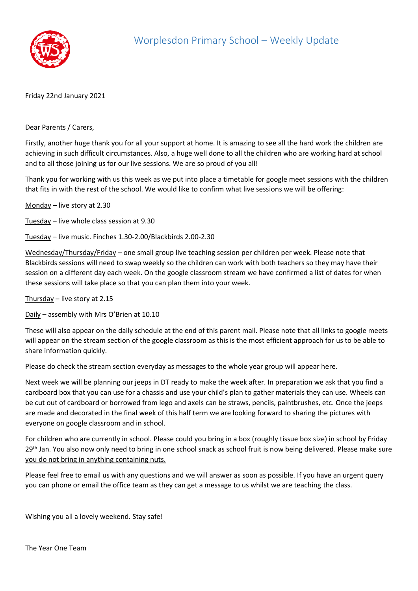

Friday 22nd January 2021

Dear Parents / Carers,

Firstly, another huge thank you for all your support at home. It is amazing to see all the hard work the children are achieving in such difficult circumstances. Also, a huge well done to all the children who are working hard at school and to all those joining us for our live sessions. We are so proud of you all!

Thank you for working with us this week as we put into place a timetable for google meet sessions with the children that fits in with the rest of the school. We would like to confirm what live sessions we will be offering:

Monday – live story at 2.30

Tuesday – live whole class session at 9.30

Tuesday – live music. Finches 1.30-2.00/Blackbirds 2.00-2.30

Wednesday/Thursday/Friday – one small group live teaching session per children per week. Please note that Blackbirds sessions will need to swap weekly so the children can work with both teachers so they may have their session on a different day each week. On the google classroom stream we have confirmed a list of dates for when these sessions will take place so that you can plan them into your week.

Thursday – live story at 2.15

Daily – assembly with Mrs O'Brien at 10.10

These will also appear on the daily schedule at the end of this parent mail. Please note that all links to google meets will appear on the stream section of the google classroom as this is the most efficient approach for us to be able to share information quickly.

Please do check the stream section everyday as messages to the whole year group will appear here.

Next week we will be planning our jeeps in DT ready to make the week after. In preparation we ask that you find a cardboard box that you can use for a chassis and use your child's plan to gather materials they can use. Wheels can be cut out of cardboard or borrowed from lego and axels can be straws, pencils, paintbrushes, etc. Once the jeeps are made and decorated in the final week of this half term we are looking forward to sharing the pictures with everyone on google classroom and in school.

For children who are currently in school. Please could you bring in a box (roughly tissue box size) in school by Friday 29<sup>th</sup> Jan. You also now only need to bring in one school snack as school fruit is now being delivered. Please make sure you do not bring in anything containing nuts.

Please feel free to email us with any questions and we will answer as soon as possible. If you have an urgent query you can phone or email the office team as they can get a message to us whilst we are teaching the class.

Wishing you all a lovely weekend. Stay safe!